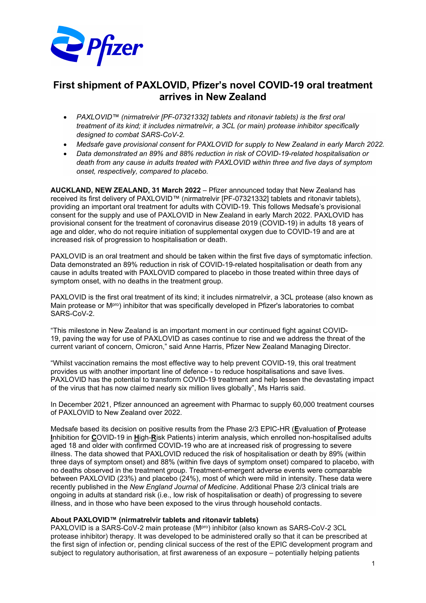

# **First shipment of PAXLOVID, Pfizer's novel COVID-19 oral treatment arrives in New Zealand**

- *PAXLOVID™ (nirmatrelvir [PF-07321332] tablets and ritonavir tablets) is the first oral treatment of its kind; it includes nirmatrelvir, a 3CL (or main) protease inhibitor specifically designed to combat SARS-CoV-2.*
- *Medsafe gave provisional consent for PAXLOVID for supply to New Zealand in early March 2022.*
- *Data demonstrated an 89% and 88% reduction in risk of COVID-19-related hospitalisation or death from any cause in adults treated with PAXLOVID within three and five days of symptom onset, respectively, compared to placebo.*

**AUCKLAND, NEW ZEALAND, 31 March 2022** – Pfizer announced today that New Zealand has received its first delivery of PAXLOVID*™* (nirmatrelvir [PF-07321332] tablets and ritonavir tablets), providing an important oral treatment for adults with COVID-19. This follows Medsafe's provisional consent for the supply and use of PAXLOVID in New Zealand in early March 2022. PAXLOVID has provisional consent for the treatment of coronavirus disease 2019 (COVID-19) in adults 18 years of age and older, who do not require initiation of supplemental oxygen due to COVID-19 and are at increased risk of progression to hospitalisation or death.

PAXLOVID is an oral treatment and should be taken within the first five days of symptomatic infection. Data demonstrated an 89% reduction in risk of COVID-19-related hospitalisation or death from any cause in adults treated with PAXLOVID compared to placebo in those treated within three days of symptom onset, with no deaths in the treatment group.

PAXLOVID is the first oral treatment of its kind; it includes nirmatrelvir, a 3CL protease (also known as Main protease or M<sup>pro</sup>) inhibitor that was specifically developed in Pfizer's laboratories to combat SARS-CoV-2.

"This milestone in New Zealand is an important moment in our continued fight against COVID-19, paving the way for use of PAXLOVID as cases continue to rise and we address the threat of the current variant of concern, Omicron," said Anne Harris, Pfizer New Zealand Managing Director.

"Whilst vaccination remains the most effective way to help prevent COVID-19, this oral treatment provides us with another important line of defence - to reduce hospitalisations and save lives. PAXLOVID has the potential to transform COVID-19 treatment and help lessen the devastating impact of the virus that has now claimed nearly six million lives globally", Ms Harris said.

In December 2021, Pfizer announced an agreement with Pharmac to supply 60,000 treatment courses of PAXLOVID to New Zealand over 2022.

Medsafe based its decision on positive results from the Phase 2/3 EPIC-HR (**E**valuation of **P**rotease **I**nhibition for **C**OVID-19 in **H**igh-**R**isk Patients) interim analysis, which enrolled non-hospitalised adults aged 18 and older with confirmed COVID-19 who are at increased risk of progressing to severe illness. The data showed that PAXLOVID reduced the risk of hospitalisation or death by 89% (within three days of symptom onset) and 88% (within five days of symptom onset) compared to placebo, with no deaths observed in the treatment group. Treatment-emergent adverse events were comparable between PAXLOVID (23%) and placebo (24%), most of which were mild in intensity. These data were recently published in the *New England Journal of Medicine*. Additional Phase 2/3 clinical trials are ongoing in adults at standard risk (i.e., low risk of hospitalisation or death) of progressing to severe illness, and in those who have been exposed to the virus through household contacts.

#### **About PAXLOVID™ (nirmatrelvir tablets and ritonavir tablets)**

PAXLOVID is a SARS-CoV-2 main protease (MPTO) inhibitor (also known as SARS-CoV-2 3CL protease inhibitor) therapy. It was developed to be administered orally so that it can be prescribed at the first sign of infection or, pending clinical success of the rest of the EPIC development program and subject to regulatory authorisation, at first awareness of an exposure – potentially helping patients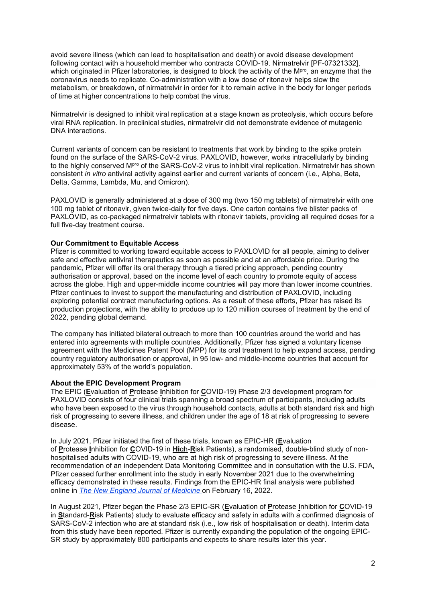avoid severe illness (which can lead to hospitalisation and death) or avoid disease development following contact with a household member who contracts COVID-19. Nirmatrelvir [PF-07321332], which originated in Pfizer laboratories, is designed to block the activity of the M<sup>pro</sup>, an enzyme that the coronavirus needs to replicate. Co-administration with a low dose of ritonavir helps slow the metabolism, or breakdown, of nirmatrelvir in order for it to remain active in the body for longer periods of time at higher concentrations to help combat the virus.

Nirmatrelvir is designed to inhibit viral replication at a stage known as proteolysis, which occurs before viral RNA replication. In preclinical studies, nirmatrelvir did not demonstrate evidence of mutagenic DNA interactions.

Current variants of concern can be resistant to treatments that work by binding to the spike protein found on the surface of the SARS-CoV-2 virus. PAXLOVID, however, works intracellularly by binding to the highly conserved MPro of the SARS-CoV-2 virus to inhibit viral replication. Nirmatrelvir has shown consistent *in vitro* antiviral activity against earlier and current variants of concern (i.e., Alpha, Beta, Delta, Gamma, Lambda, Mu, and Omicron).

PAXLOVID is generally administered at a dose of 300 mg (two 150 mg tablets) of nirmatrelvir with one 100 mg tablet of ritonavir, given twice-daily for five days. One carton contains five blister packs of PAXLOVID, as co-packaged nirmatrelvir tablets with ritonavir tablets, providing all required doses for a full five-day treatment course.

#### **Our Commitment to Equitable Access**

Pfizer is committed to working toward equitable access to PAXLOVID for all people, aiming to deliver safe and effective antiviral therapeutics as soon as possible and at an affordable price. During the pandemic, Pfizer will offer its oral therapy through a tiered pricing approach, pending country authorisation or approval, based on the income level of each country to promote equity of access across the globe. High and upper-middle income countries will pay more than lower income countries. Pfizer continues to invest to support the manufacturing and distribution of PAXLOVID, including exploring potential contract manufacturing options. As a result of these efforts, Pfizer has raised its production projections, with the ability to produce up to 120 million courses of treatment by the end of 2022, pending global demand.

The company has initiated bilateral outreach to more than 100 countries around the world and has entered into agreements with multiple countries. Additionally, Pfizer has signed a voluntary license agreement with the Medicines Patent Pool (MPP) for its oral treatment to help expand access, pending country regulatory authorisation or approval, in 95 low- and middle-income countries that account for approximately 53% of the world's population.

#### **About the EPIC Development Program**

The EPIC (**E**valuation of **P**rotease **I**nhibition for **C**OVID-19) Phase 2/3 development program for PAXLOVID consists of four clinical trials spanning a broad spectrum of participants, including adults who have been exposed to the virus through household contacts, adults at both standard risk and high risk of progressing to severe illness, and children under the age of 18 at risk of progressing to severe disease.

In July 2021, Pfizer initiated the first of these trials, known as EPIC-HR (**E**valuation of **P**rotease **I**nhibition for **C**OVID-19 in **Hi**gh-**R**isk Patients), a randomised, double-blind study of nonhospitalised adults with COVID-19, who are at high risk of progressing to severe illness. At the recommendation of an independent Data Monitoring Committee and in consultation with the U.S. FDA, Pfizer ceased further enrollment into the study in early November 2021 due to the overwhelming efficacy demonstrated in these results. Findings from the EPIC-HR final analysis were published online in *[The New England Journal of Medicine](https://cts.businesswire.com/ct/CT?id=smartlink&url=https%3A%2F%2Fwww.nejm.org%2Fdoi%2Ffull%2F10.1056%2FNEJMoa2118542&esheet=52591565&newsitemid=20220308005987&lan=en-US&anchor=The+New+England+Journal+of+Medicine&index=4&md5=f2f19f9177308dcbe16a63aea76d6b3f)* on February 16, 2022.

In August 2021, Pfizer began the Phase 2/3 EPIC-SR (**E**valuation of **P**rotease **I**nhibition for **C**OVID-19 in **S**tandard-**R**isk Patients) study to evaluate efficacy and safety in adults with a confirmed diagnosis of SARS-CoV-2 infection who are at standard risk (i.e., low risk of hospitalisation or death). Interim data from this study have been reported. Pfizer is currently expanding the population of the ongoing EPIC-SR study by approximately 800 participants and expects to share results later this year.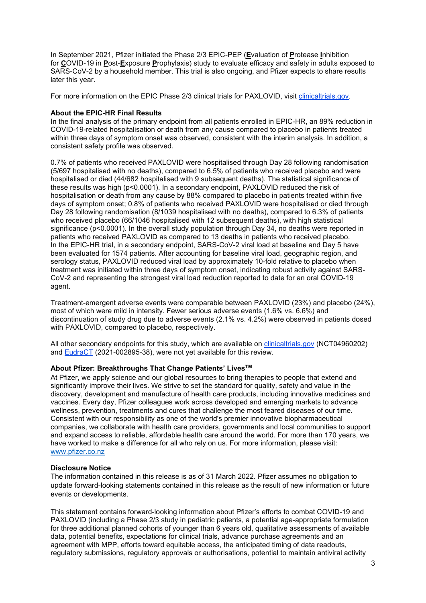In September 2021, Pfizer initiated the Phase 2/3 EPIC-PEP (**E**valuation of **P**rotease **I**nhibition for **C**OVID-19 in **P**ost-**E**xposure **P**rophylaxis) study to evaluate efficacy and safety in adults exposed to SARS-CoV-2 by a household member. This trial is also ongoing, and Pfizer expects to share results later this year.

For more information on the EPIC Phase 2/3 clinical trials for PAXLOVID, visit [clinicaltrials.gov.](https://cts.businesswire.com/ct/CT?id=smartlink&url=https%3A%2F%2Fclinicaltrials.gov%2F&esheet=52591565&newsitemid=20220308005987&lan=en-US&anchor=clinicaltrials.gov&index=5&md5=16bf8d026ad10b54a0b89757353e32c2)

### **About the EPIC-HR Final Results**

In the final analysis of the primary endpoint from all patients enrolled in EPIC-HR, an 89% reduction in COVID-19-related hospitalisation or death from any cause compared to placebo in patients treated within three days of symptom onset was observed, consistent with the interim analysis. In addition, a consistent safety profile was observed.

0.7% of patients who received PAXLOVID were hospitalised through Day 28 following randomisation (5/697 hospitalised with no deaths), compared to 6.5% of patients who received placebo and were hospitalised or died (44/682 hospitalised with 9 subsequent deaths). The statistical significance of these results was high (p<0.0001). In a secondary endpoint, PAXLOVID reduced the risk of hospitalisation or death from any cause by 88% compared to placebo in patients treated within five days of symptom onset; 0.8% of patients who received PAXLOVID were hospitalised or died through Day 28 following randomisation (8/1039 hospitalised with no deaths), compared to 6.3% of patients who received placebo (66/1046 hospitalised with 12 subsequent deaths), with high statistical significance (p<0.0001). In the overall study population through Day 34, no deaths were reported in patients who received PAXLOVID as compared to 13 deaths in patients who received placebo. In the EPIC-HR trial, in a secondary endpoint, SARS-CoV-2 viral load at baseline and Day 5 have been evaluated for 1574 patients. After accounting for baseline viral load, geographic region, and serology status, PAXLOVID reduced viral load by approximately 10-fold relative to placebo when treatment was initiated within three days of symptom onset, indicating robust activity against SARS-CoV-2 and representing the strongest viral load reduction reported to date for an oral COVID-19 agent.

Treatment-emergent adverse events were comparable between PAXLOVID (23%) and placebo (24%), most of which were mild in intensity. Fewer serious adverse events (1.6% vs. 6.6%) and discontinuation of study drug due to adverse events (2.1% vs. 4.2%) were observed in patients dosed with PAXLOVID, compared to placebo, respectively.

All other secondary endpoints for this study, which are available on [clinicaltrials.gov](https://cts.businesswire.com/ct/CT?id=smartlink&url=https%3A%2F%2Fclinicaltrials.gov%2Fct2%2Fshow%2FNCT04960202&esheet=52591565&newsitemid=20220308005987&lan=en-US&anchor=clinicaltrials.gov&index=6&md5=c517ec0962cffe61ef54885f4c92131f) (NCT04960202) and [EudraCT](https://cts.businesswire.com/ct/CT?id=smartlink&url=https%3A%2F%2Feudract.ema.europa.eu%2F&esheet=52591565&newsitemid=20220308005987&lan=en-US&anchor=EudraCT&index=7&md5=a69a078fc32509c1c9deb990796ebd2f) (2021-002895-38), were not yet available for this review.

## **About Pfizer: Breakthroughs That Change Patients' LivesTM**

At Pfizer, we apply science and our global resources to bring therapies to people that extend and significantly improve their lives. We strive to set the standard for quality, safety and value in the discovery, development and manufacture of health care products, including innovative medicines and vaccines. Every day, Pfizer colleagues work across developed and emerging markets to advance wellness, prevention, treatments and cures that challenge the most feared diseases of our time. Consistent with our responsibility as one of the world's premier innovative biopharmaceutical companies, we collaborate with health care providers, governments and local communities to support and expand access to reliable, affordable health care around the world. For more than 170 years, we have worked to make a difference for all who rely on us. For more information, please visit: [www.pfizer.co.nz](http://www.pfizer.co.nz/)

#### **Disclosure Notice**

The information contained in this release is as of 31 March 2022. Pfizer assumes no obligation to update forward-looking statements contained in this release as the result of new information or future events or developments.

This statement contains forward-looking information about Pfizer's efforts to combat COVID-19 and PAXLOVID (including a Phase 2/3 study in pediatric patients, a potential age-appropriate formulation for three additional planned cohorts of younger than 6 years old, qualitative assessments of available data, potential benefits, expectations for clinical trials, advance purchase agreements and an agreement with MPP, efforts toward equitable access, the anticipated timing of data readouts, regulatory submissions, regulatory approvals or authorisations, potential to maintain antiviral activity